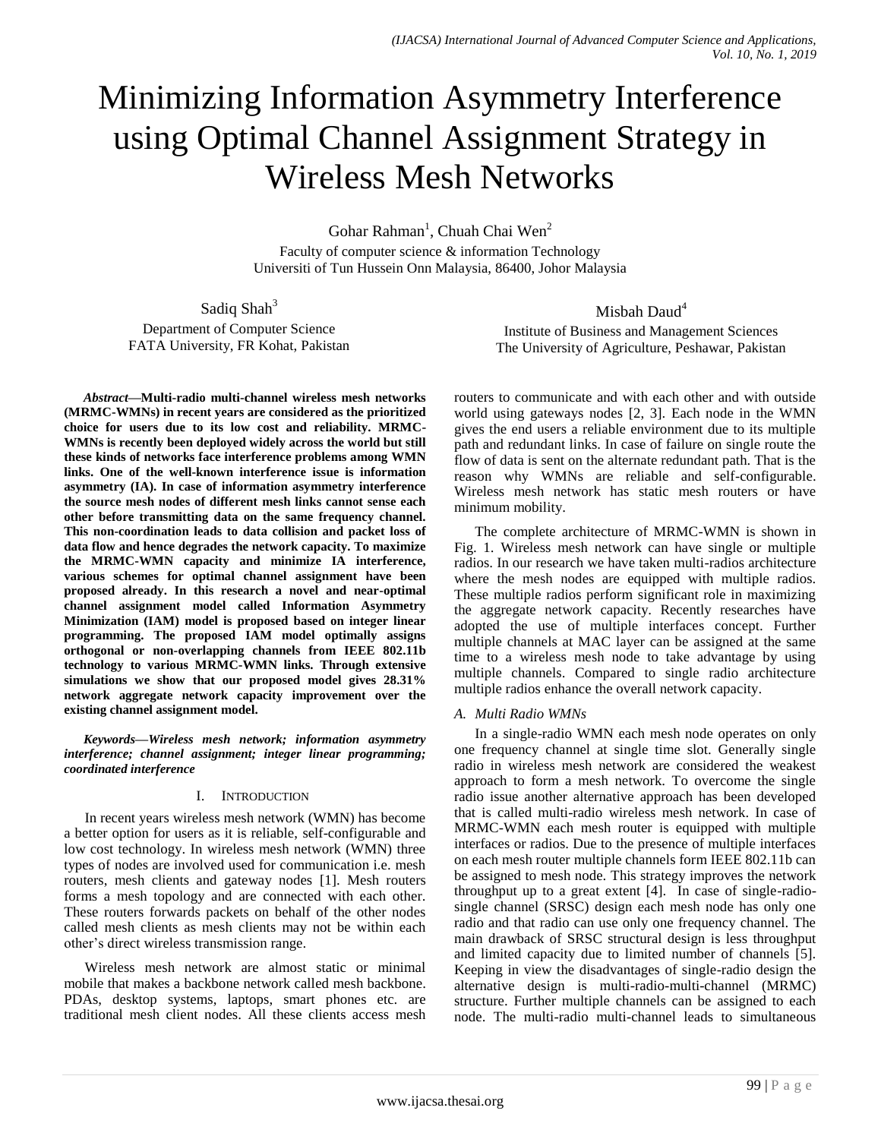# Minimizing Information Asymmetry Interference using Optimal Channel Assignment Strategy in Wireless Mesh Networks

Gohar Rahman<sup>1</sup>, Chuah Chai Wen<sup>2</sup>

Faculty of computer science & information Technology Universiti of Tun Hussein Onn Malaysia, 86400, Johor Malaysia

Sadiq Shah<sup>3</sup> Department of Computer Science FATA University, FR Kohat, Pakistan

*Abstract***—Multi-radio multi-channel wireless mesh networks (MRMC-WMNs) in recent years are considered as the prioritized choice for users due to its low cost and reliability. MRMC-WMNs is recently been deployed widely across the world but still these kinds of networks face interference problems among WMN links. One of the well-known interference issue is information asymmetry (IA). In case of information asymmetry interference the source mesh nodes of different mesh links cannot sense each other before transmitting data on the same frequency channel. This non-coordination leads to data collision and packet loss of data flow and hence degrades the network capacity. To maximize the MRMC-WMN capacity and minimize IA interference, various schemes for optimal channel assignment have been proposed already. In this research a novel and near-optimal channel assignment model called Information Asymmetry Minimization (IAM) model is proposed based on integer linear programming. The proposed IAM model optimally assigns orthogonal or non-overlapping channels from IEEE 802.11b technology to various MRMC-WMN links. Through extensive simulations we show that our proposed model gives 28.31% network aggregate network capacity improvement over the existing channel assignment model.**

*Keywords—Wireless mesh network; information asymmetry interference; channel assignment; integer linear programming; coordinated interference*

# I. INTRODUCTION

In recent years wireless mesh network (WMN) has become a better option for users as it is reliable, self-configurable and low cost technology. In wireless mesh network (WMN) three types of nodes are involved used for communication i.e. mesh routers, mesh clients and gateway nodes [1]. Mesh routers forms a mesh topology and are connected with each other. These routers forwards packets on behalf of the other nodes called mesh clients as mesh clients may not be within each other's direct wireless transmission range.

Wireless mesh network are almost static or minimal mobile that makes a backbone network called mesh backbone. PDAs, desktop systems, laptops, smart phones etc. are traditional mesh client nodes. All these clients access mesh Misbah Daud<sup>4</sup>

Institute of Business and Management Sciences The University of Agriculture, Peshawar, Pakistan

routers to communicate and with each other and with outside world using gateways nodes [2, 3]. Each node in the WMN gives the end users a reliable environment due to its multiple path and redundant links. In case of failure on single route the flow of data is sent on the alternate redundant path. That is the reason why WMNs are reliable and self-configurable. Wireless mesh network has static mesh routers or have minimum mobility.

The complete architecture of MRMC-WMN is shown in Fig. 1. Wireless mesh network can have single or multiple radios. In our research we have taken multi-radios architecture where the mesh nodes are equipped with multiple radios. These multiple radios perform significant role in maximizing the aggregate network capacity. Recently researches have adopted the use of multiple interfaces concept. Further multiple channels at MAC layer can be assigned at the same time to a wireless mesh node to take advantage by using multiple channels. Compared to single radio architecture multiple radios enhance the overall network capacity.

## *A. Multi Radio WMNs*

In a single-radio WMN each mesh node operates on only one frequency channel at single time slot. Generally single radio in wireless mesh network are considered the weakest approach to form a mesh network. To overcome the single radio issue another alternative approach has been developed that is called multi-radio wireless mesh network. In case of MRMC-WMN each mesh router is equipped with multiple interfaces or radios. Due to the presence of multiple interfaces on each mesh router multiple channels form IEEE 802.11b can be assigned to mesh node. This strategy improves the network throughput up to a great extent [4]. In case of single-radiosingle channel (SRSC) design each mesh node has only one radio and that radio can use only one frequency channel. The main drawback of SRSC structural design is less throughput and limited capacity due to limited number of channels [5]. Keeping in view the disadvantages of single-radio design the alternative design is multi-radio-multi-channel (MRMC) structure. Further multiple channels can be assigned to each node. The multi-radio multi-channel leads to simultaneous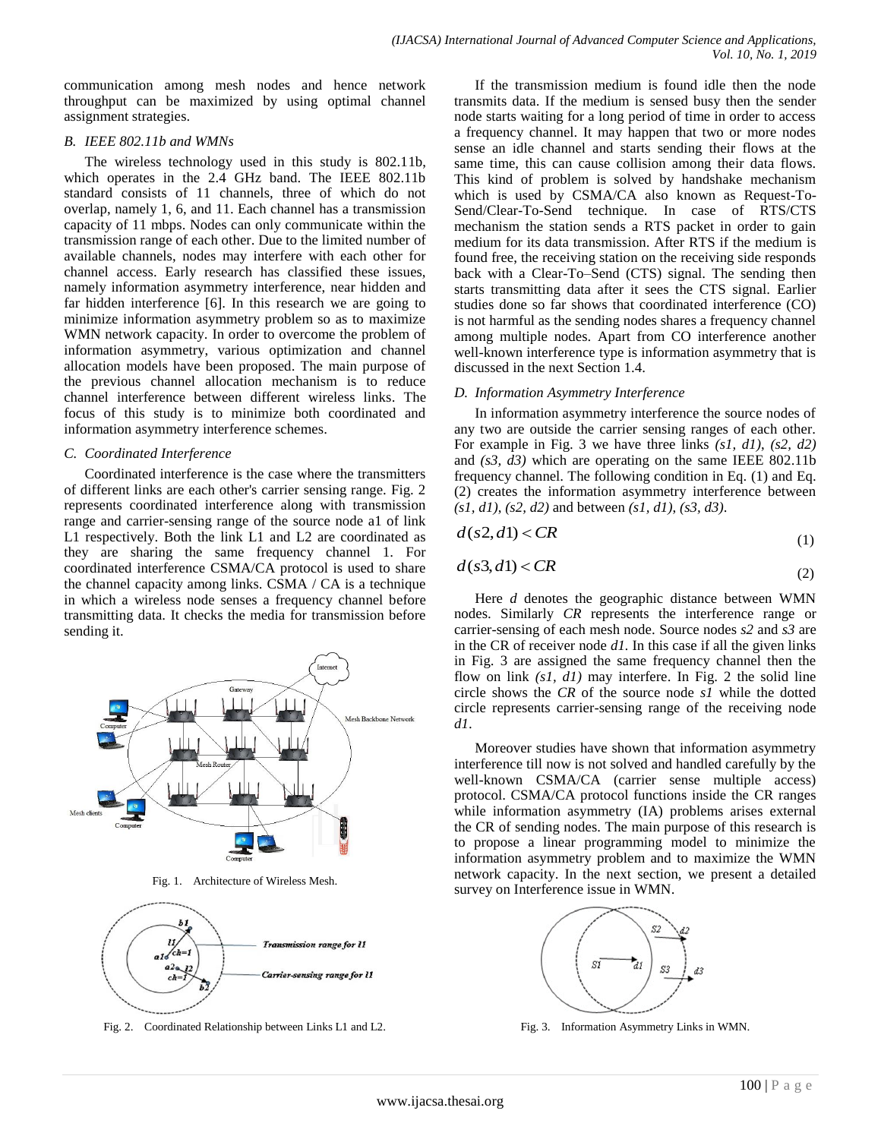communication among mesh nodes and hence network throughput can be maximized by using optimal channel assignment strategies.

# *B. IEEE 802.11b and WMNs*

The wireless technology used in this study is 802.11b, which operates in the 2.4 GHz band. The IEEE 802.11b standard consists of 11 channels, three of which do not overlap, namely 1, 6, and 11. Each channel has a transmission capacity of 11 mbps. Nodes can only communicate within the transmission range of each other. Due to the limited number of available channels, nodes may interfere with each other for channel access. Early research has classified these issues, namely information asymmetry interference, near hidden and far hidden interference [6]. In this research we are going to minimize information asymmetry problem so as to maximize WMN network capacity. In order to overcome the problem of information asymmetry, various optimization and channel allocation models have been proposed. The main purpose of the previous channel allocation mechanism is to reduce channel interference between different wireless links. The focus of this study is to minimize both coordinated and information asymmetry interference schemes.

## *C. Coordinated Interference*

Coordinated interference is the case where the transmitters of different links are each other's carrier sensing range. Fig. 2 represents coordinated interference along with transmission range and carrier-sensing range of the source node a1 of link L1 respectively. Both the link L1 and L2 are coordinated as they are sharing the same frequency channel 1. For coordinated interference CSMA/CA protocol is used to share the channel capacity among links. CSMA / CA is a technique in which a wireless node senses a frequency channel before transmitting data. It checks the media for transmission before sending it.



Fig. 1. Architecture of Wireless Mesh.



Fig. 2. Coordinated Relationship between Links L1 and L2.

If the transmission medium is found idle then the node transmits data. If the medium is sensed busy then the sender node starts waiting for a long period of time in order to access a frequency channel. It may happen that two or more nodes sense an idle channel and starts sending their flows at the same time, this can cause collision among their data flows. This kind of problem is solved by handshake mechanism which is used by CSMA/CA also known as Request-To-Send/Clear-To-Send technique. In case of RTS/CTS mechanism the station sends a RTS packet in order to gain medium for its data transmission. After RTS if the medium is found free, the receiving station on the receiving side responds back with a Clear-To–Send (CTS) signal. The sending then starts transmitting data after it sees the CTS signal. Earlier studies done so far shows that coordinated interference (CO) is not harmful as the sending nodes shares a frequency channel among multiple nodes. Apart from CO interference another well-known interference type is information asymmetry that is discussed in the next Section 1.4.

## *D. Information Asymmetry Interference*

In information asymmetry interference the source nodes of any two are outside the carrier sensing ranges of each other. For example in Fig. 3 we have three links *(s1, d1)*, *(s2, d2)* and *(s3, d3)* which are operating on the same IEEE 802.11b frequency channel. The following condition in Eq. (1) and Eq. (2) creates the information asymmetry interference between *(s1, d1)*, *(s2, d2)* and between *(s1, d1)*, *(s3, d3)*.

$$
d(s2, d1) < CR \tag{1}
$$

$$
d(s3,d1) < CR \tag{2}
$$

Here *d* denotes the geographic distance between WMN nodes. Similarly *CR* represents the interference range or carrier-sensing of each mesh node. Source nodes *s2* and *s3* are in the CR of receiver node *d1.* In this case if all the given links in Fig. 3 are assigned the same frequency channel then the flow on link *(s1, d1)* may interfere. In Fig. 2 the solid line circle shows the *CR* of the source node *s1* while the dotted circle represents carrier-sensing range of the receiving node *d1*.

Moreover studies have shown that information asymmetry interference till now is not solved and handled carefully by the well-known CSMA/CA (carrier sense multiple access) protocol. CSMA/CA protocol functions inside the CR ranges while information asymmetry (IA) problems arises external the CR of sending nodes. The main purpose of this research is to propose a linear programming model to minimize the information asymmetry problem and to maximize the WMN network capacity. In the next section, we present a detailed survey on Interference issue in WMN.



Fig. 3. Information Asymmetry Links in WMN.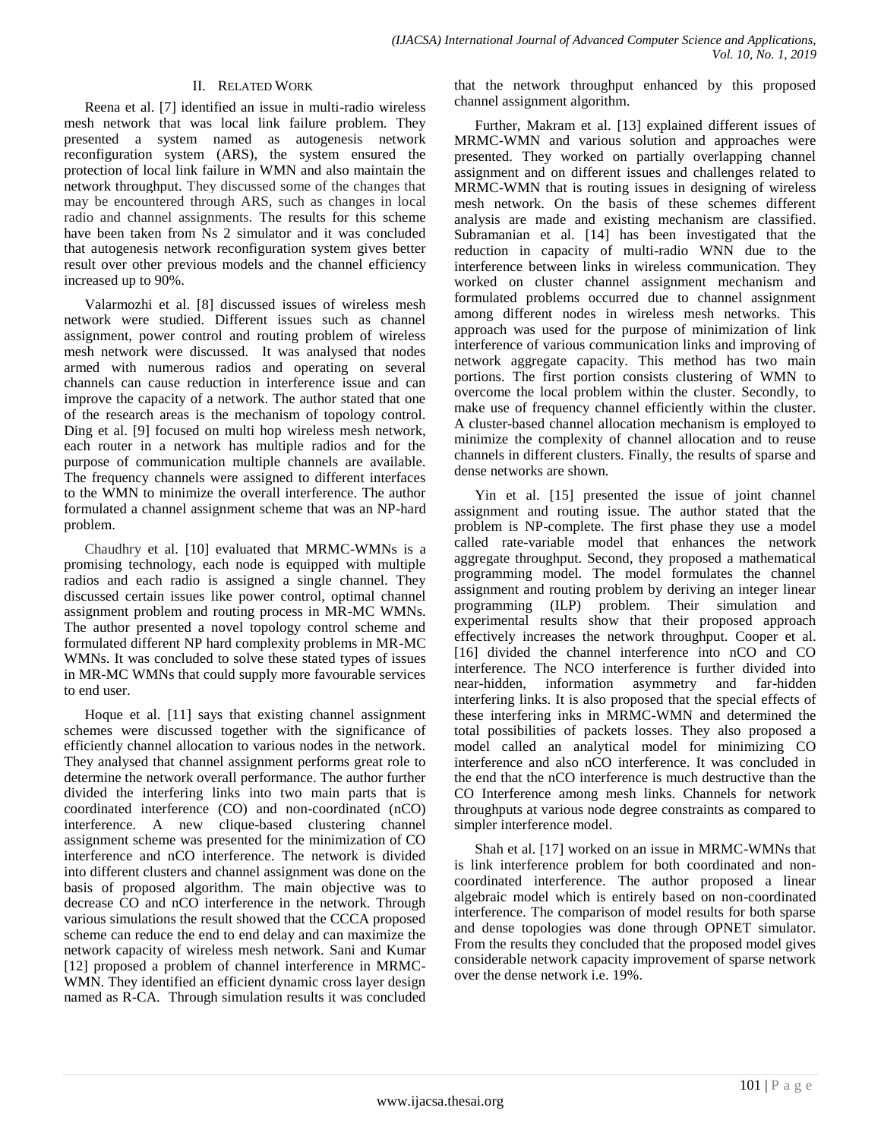## II. RELATED WORK

Reena et al. [7] identified an issue in multi-radio wireless mesh network that was local link failure problem. They presented a system named as autogenesis network reconfiguration system (ARS), the system ensured the protection of local link failure in WMN and also maintain the network throughput. They discussed some of the changes that may be encountered through ARS, such as changes in local radio and channel assignments. The results for this scheme have been taken from Ns 2 simulator and it was concluded that autogenesis network reconfiguration system gives better result over other previous models and the channel efficiency increased up to 90%.

Valarmozhi et al. [8] discussed issues of wireless mesh network were studied. Different issues such as channel assignment, power control and routing problem of wireless mesh network were discussed. It was analysed that nodes armed with numerous radios and operating on several channels can cause reduction in interference issue and can improve the capacity of a network. The author stated that one of the research areas is the mechanism of topology control. Ding et al. [9] focused on multi hop wireless mesh network, each router in a network has multiple radios and for the purpose of communication multiple channels are available. The frequency channels were assigned to different interfaces to the WMN to minimize the overall interference. The author formulated a channel assignment scheme that was an NP-hard problem.

Chaudhry et al. [10] evaluated that MRMC-WMNs is a promising technology, each node is equipped with multiple radios and each radio is assigned a single channel. They discussed certain issues like power control, optimal channel assignment problem and routing process in MR-MC WMNs. The author presented a novel topology control scheme and formulated different NP hard complexity problems in MR-MC WMNs. It was concluded to solve these stated types of issues in MR-MC WMNs that could supply more favourable services to end user.

Hoque et al. [11] says that existing channel assignment schemes were discussed together with the significance of efficiently channel allocation to various nodes in the network. They analysed that channel assignment performs great role to determine the network overall performance. The author further divided the interfering links into two main parts that is coordinated interference (CO) and non-coordinated (nCO) interference. A new clique-based clustering channel assignment scheme was presented for the minimization of CO interference and nCO interference. The network is divided into different clusters and channel assignment was done on the basis of proposed algorithm. The main objective was to decrease CO and nCO interference in the network. Through various simulations the result showed that the CCCA proposed scheme can reduce the end to end delay and can maximize the network capacity of wireless mesh network. Sani and Kumar [12] proposed a problem of channel interference in MRMC-WMN. They identified an efficient dynamic cross layer design named as R-CA. Through simulation results it was concluded

that the network throughput enhanced by this proposed channel assignment algorithm.

Further, Makram et al. [13] explained different issues of MRMC-WMN and various solution and approaches were presented. They worked on partially overlapping channel assignment and on different issues and challenges related to MRMC-WMN that is routing issues in designing of wireless mesh network. On the basis of these schemes different analysis are made and existing mechanism are classified. Subramanian et al. [14] has been investigated that the reduction in capacity of multi-radio WNN due to the interference between links in wireless communication. They worked on cluster channel assignment mechanism and formulated problems occurred due to channel assignment among different nodes in wireless mesh networks. This approach was used for the purpose of minimization of link interference of various communication links and improving of network aggregate capacity. This method has two main portions. The first portion consists clustering of WMN to overcome the local problem within the cluster. Secondly, to make use of frequency channel efficiently within the cluster. A cluster-based channel allocation mechanism is employed to minimize the complexity of channel allocation and to reuse channels in different clusters. Finally, the results of sparse and dense networks are shown.

Yin et al. [15] presented the issue of joint channel assignment and routing issue. The author stated that the problem is NP-complete. The first phase they use a model called rate-variable model that enhances the network aggregate throughput. Second, they proposed a mathematical programming model. The model formulates the channel assignment and routing problem by deriving an integer linear programming (ILP) problem. Their simulation and experimental results show that their proposed approach effectively increases the network throughput. Cooper et al. [16] divided the channel interference into nCO and CO interference. The NCO interference is further divided into near-hidden, information asymmetry and far-hidden interfering links. It is also proposed that the special effects of these interfering inks in MRMC-WMN and determined the total possibilities of packets losses. They also proposed a model called an analytical model for minimizing CO interference and also nCO interference. It was concluded in the end that the nCO interference is much destructive than the CO Interference among mesh links. Channels for network throughputs at various node degree constraints as compared to simpler interference model.

Shah et al. [17] worked on an issue in MRMC-WMNs that is link interference problem for both coordinated and noncoordinated interference. The author proposed a linear algebraic model which is entirely based on non-coordinated interference. The comparison of model results for both sparse and dense topologies was done through OPNET simulator. From the results they concluded that the proposed model gives considerable network capacity improvement of sparse network over the dense network i.e. 19%.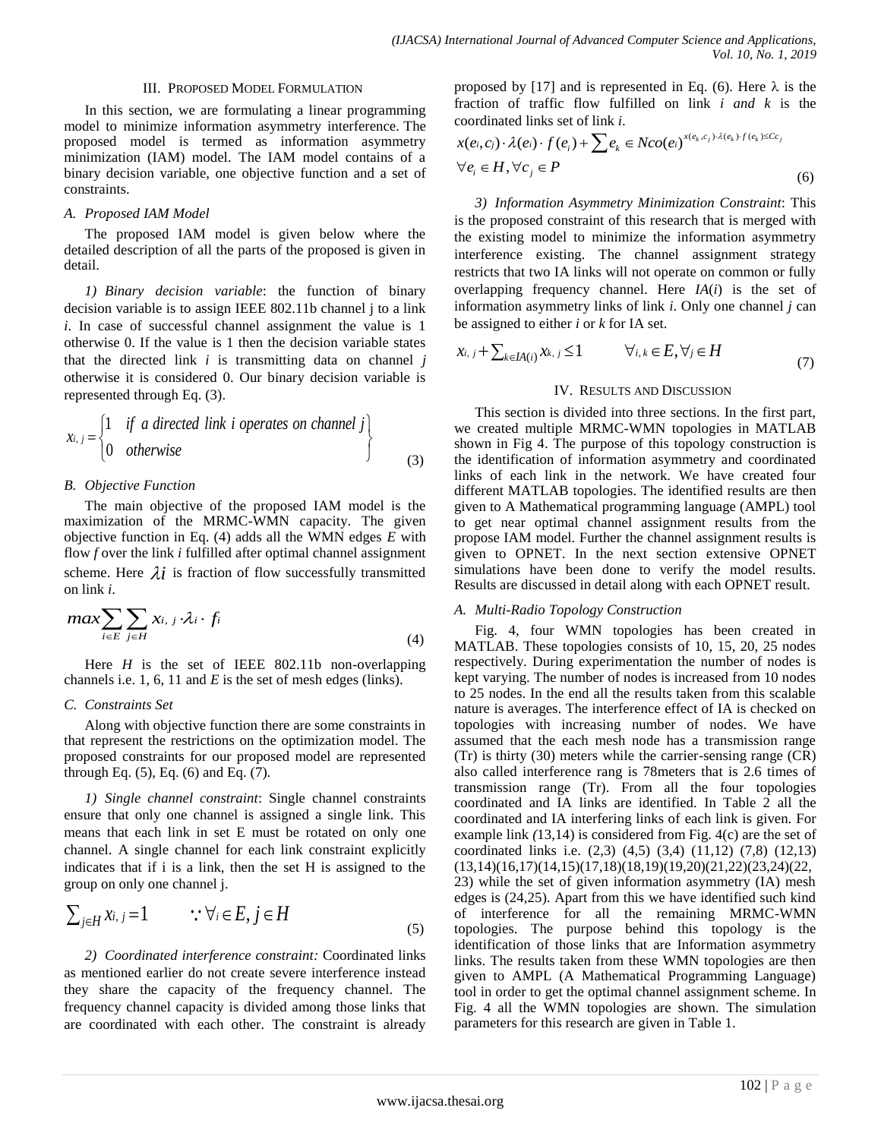#### III. PROPOSED MODEL FORMULATION

In this section, we are formulating a linear programming model to minimize information asymmetry interference. The proposed model is termed as information asymmetry minimization (IAM) model. The IAM model contains of a binary decision variable, one objective function and a set of constraints.

#### *A. Proposed IAM Model*

The proposed IAM model is given below where the detailed description of all the parts of the proposed is given in detail.

*1) Binary decision variable*: the function of binary decision variable is to assign IEEE 802.11b channel j to a link *i*. In case of successful channel assignment the value is 1 otherwise 0. If the value is 1 then the decision variable states that the directed link *i* is transmitting data on channel *j*  otherwise it is considered 0. Our binary decision variable is

represented through Eq. (3).  
\n
$$
x_{i,j} = \begin{cases} 1 & \text{if } a \text{ directed link } i \text{ operates on channel } j \\ 0 & \text{otherwise} \end{cases}
$$
\n(3)

#### *B. Objective Function*

The main objective of the proposed IAM model is the maximization of the MRMC-WMN capacity. The given objective function in Eq. (4) adds all the WMN edges *E* with flow *f* over the link *i* fulfilled after optimal channel assignment scheme. Here  $\lambda i$  is fraction of flow successfully transmitted on link *i*.

$$
max \sum_{i \in E} \sum_{j \in H} x_{i,j} \cdot \lambda_i \cdot f_i
$$
\n(4)

Here  $H$  is the set of IEEE 802.11b non-overlapping channels i.e. 1, 6, 11 and *E* is the set of mesh edges (links).

#### *C. Constraints Set*

Along with objective function there are some constraints in that represent the restrictions on the optimization model. The proposed constraints for our proposed model are represented through Eq. (5), Eq. (6) and Eq. (7).

*1) Single channel constraint*: Single channel constraints ensure that only one channel is assigned a single link. This means that each link in set E must be rotated on only one channel. A single channel for each link constraint explicitly indicates that if i is a link, then the set H is assigned to the

group on only one channel j.  
\n
$$
\sum_{j \in H} x_{i,j} = 1 \qquad \therefore \forall i \in E, j \in H
$$
\n(5)

*2) Coordinated interference constraint:* Coordinated links as mentioned earlier do not create severe interference instead they share the capacity of the frequency channel. The frequency channel capacity is divided among those links that are coordinated with each other. The constraint is already proposed by [17] and is represented in Eq. (6). Here  $\lambda$  is the fraction of traffic flow fulfilled on link *i and k* is the coordinated links set of link *i*.<br>  $x(e_i, c_j) \cdot \lambda(e_i) \cdot f(e_i) + \sum e_k \in Nco(e_i)^{x(e_k, c_j) \cdot \lambda(e_k) \cdot f(e_k) \leq Cc_j}$  $\cdot \lambda(e_k) \cdot f(e_k) \leq C c_j$ 

fraction of traffic flow fulfilled on link *i* and *k* is the  
coordinated links set of link *i*.  

$$
x(e_i, c_j) \cdot \lambda(e_i) \cdot f(e_i) + \sum e_k \in Nco(e_i)^{x(e_k, c_j) \cdot \lambda(e_k) \cdot f(e_k) \leq Cc_j}
$$

$$
\forall e_i \in H, \forall c_j \in P
$$
(6)

*3) Information Asymmetry Minimization Constraint*: This is the proposed constraint of this research that is merged with the existing model to minimize the information asymmetry interference existing. The channel assignment strategy restricts that two IA links will not operate on common or fully overlapping frequency channel. Here *IA*(*i*) is the set of information asymmetry links of link *i*. Only one channel *j* can

be assigned to either *i* or *k* for IA set.  
\n
$$
x_{i, j} + \sum_{k \in IA(i)} x_{k, j} \le 1 \qquad \forall_{i, k} \in E, \forall j \in H
$$
\n(7)

## IV. RESULTS AND DISCUSSION

This section is divided into three sections. In the first part, we created multiple MRMC-WMN topologies in MATLAB shown in Fig 4. The purpose of this topology construction is the identification of information asymmetry and coordinated links of each link in the network. We have created four different MATLAB topologies. The identified results are then given to A Mathematical programming language (AMPL) tool to get near optimal channel assignment results from the propose IAM model. Further the channel assignment results is given to OPNET. In the next section extensive OPNET simulations have been done to verify the model results. Results are discussed in detail along with each OPNET result.

## *A. Multi-Radio Topology Construction*

Fig. 4, four WMN topologies has been created in MATLAB. These topologies consists of 10, 15, 20, 25 nodes respectively. During experimentation the number of nodes is kept varying. The number of nodes is increased from 10 nodes to 25 nodes. In the end all the results taken from this scalable nature is averages. The interference effect of IA is checked on topologies with increasing number of nodes. We have assumed that the each mesh node has a transmission range (Tr) is thirty (30) meters while the carrier-sensing range (CR) also called interference rang is 78meters that is 2.6 times of transmission range (Tr). From all the four topologies coordinated and IA links are identified. In Table 2 all the coordinated and IA interfering links of each link is given. For example link *(*13,14) is considered from Fig. 4(c) are the set of coordinated links i.e. (2,3) (4,5) (3,4) (11,12) (7,8) (12,13) (13,14)(16,17)(14,15)(17,18)(18,19)(19,20)(21,22)(23,24)(22, 23) while the set of given information asymmetry (IA) mesh edges is (24,25). Apart from this we have identified such kind of interference for all the remaining MRMC-WMN topologies. The purpose behind this topology is the identification of those links that are Information asymmetry links. The results taken from these WMN topologies are then given to AMPL (A Mathematical Programming Language) tool in order to get the optimal channel assignment scheme. In Fig. 4 all the WMN topologies are shown. The simulation parameters for this research are given in Table 1.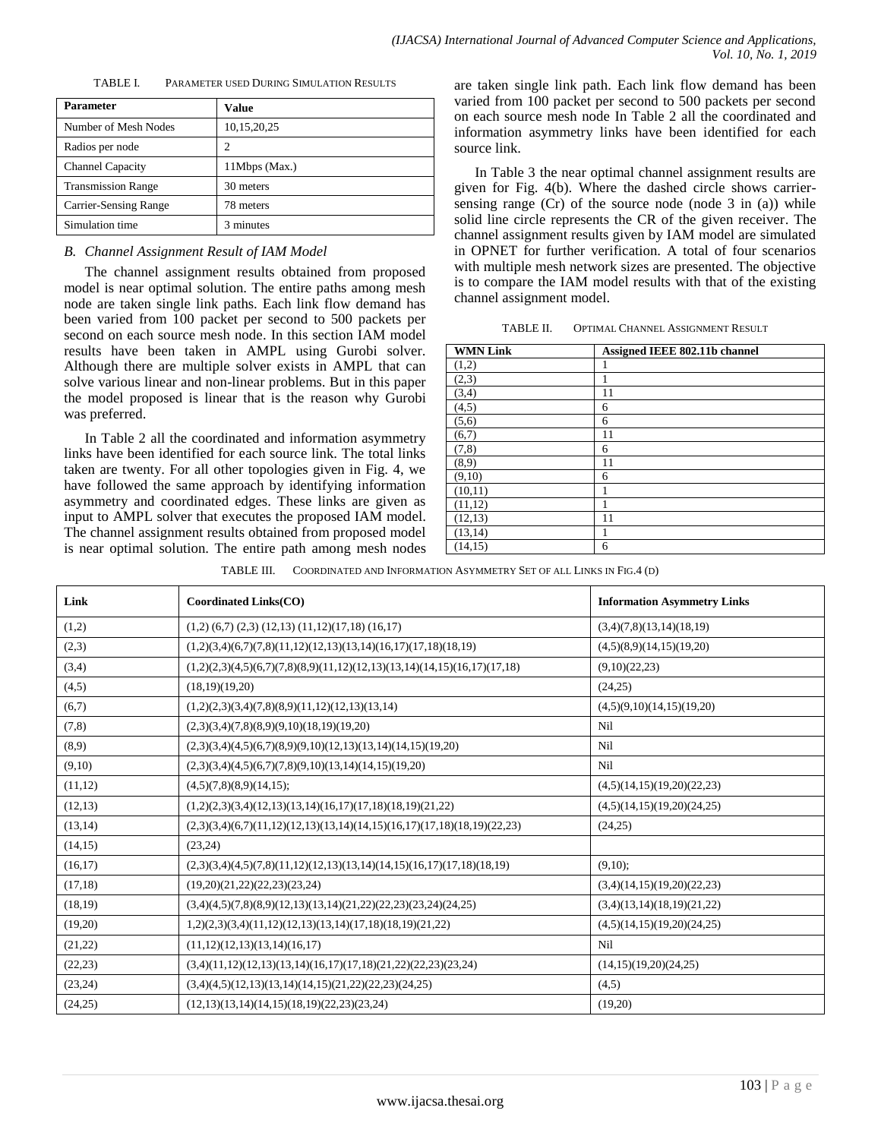| TABLE L | PARAMETER USED DURING SIMULATION RESULTS |
|---------|------------------------------------------|
|---------|------------------------------------------|

| <b>Parameter</b>          | Value          |
|---------------------------|----------------|
| Number of Mesh Nodes      | 10,15,20,25    |
| Radios per node           | $\mathfrak{D}$ |
| Channel Capacity          | 11Mbps (Max.)  |
| <b>Transmission Range</b> | 30 meters      |
| Carrier-Sensing Range     | 78 meters      |
| Simulation time           | 3 minutes      |

#### *B. Channel Assignment Result of IAM Model*

The channel assignment results obtained from proposed model is near optimal solution. The entire paths among mesh node are taken single link paths. Each link flow demand has been varied from 100 packet per second to 500 packets per second on each source mesh node. In this section IAM model results have been taken in AMPL using Gurobi solver. Although there are multiple solver exists in AMPL that can solve various linear and non-linear problems. But in this paper the model proposed is linear that is the reason why Gurobi was preferred.

In Table 2 all the coordinated and information asymmetry links have been identified for each source link. The total links taken are twenty. For all other topologies given in Fig. 4, we have followed the same approach by identifying information asymmetry and coordinated edges. These links are given as input to AMPL solver that executes the proposed IAM model. The channel assignment results obtained from proposed model is near optimal solution. The entire path among mesh nodes are taken single link path. Each link flow demand has been varied from 100 packet per second to 500 packets per second on each source mesh node In Table 2 all the coordinated and information asymmetry links have been identified for each source link.

In Table 3 the near optimal channel assignment results are given for Fig. 4(b). Where the dashed circle shows carriersensing range  $(Cr)$  of the source node (node 3 in (a)) while solid line circle represents the CR of the given receiver. The channel assignment results given by IAM model are simulated in OPNET for further verification. A total of four scenarios with multiple mesh network sizes are presented. The objective is to compare the IAM model results with that of the existing channel assignment model.

| TABLE II. |  | <b>OPTIMAL CHANNEL ASSIGNMENT RESULT</b> |  |
|-----------|--|------------------------------------------|--|
|           |  |                                          |  |

| <b>WMN Link</b> | Assigned IEEE 802.11b channel |
|-----------------|-------------------------------|
| (1,2)           |                               |
| (2,3)           |                               |
| (3,4)           | 11                            |
| (4,5)           | 6                             |
| (5,6)           | 6                             |
| (6,7)           | 11                            |
| (7, 8)          | 6                             |
| (8,9)           | 11                            |
| (9,10)          | 6                             |
| (10,11)         | 1                             |
| (11, 12)        | 1                             |
| (12, 13)        | 11                            |
| (13, 14)        | 1                             |
| (14, 15)        | 6                             |

TABLE III. COORDINATED AND INFORMATION ASYMMETRY SET OF ALL LINKS IN FIG.4 (D)

| Link     | <b>Coordinated Links(CO)</b>                                               | <b>Information Asymmetry Links</b> |
|----------|----------------------------------------------------------------------------|------------------------------------|
| (1,2)    | $(1,2)$ $(6,7)$ $(2,3)$ $(12,13)$ $(11,12)$ $(17,18)$ $(16,17)$            | (3,4)(7,8)(13,14)(18,19)           |
| (2,3)    | $(1,2)(3,4)(6,7)(7,8)(11,12)(12,13)(13,14)(16,17)(17,18)(18,19)$           | (4,5)(8,9)(14,15)(19,20)           |
| (3,4)    | $(1,2)(2,3)(4,5)(6,7)(7,8)(8,9)(11,12)(12,13)(13,14)(14,15)(16,17)(17,18)$ | (9,10)(22,23)                      |
| (4,5)    | (18,19)(19,20)                                                             | (24,25)                            |
| (6,7)    | $(1,2)(2,3)(3,4)(7,8)(8,9)(11,12)(12,13)(13,14)$                           | (4,5)(9,10)(14,15)(19,20)          |
| (7, 8)   | $(2,3)(3,4)(7,8)(8,9)(9,10)(18,19)(19,20)$                                 | Nil                                |
| (8,9)    | $(2,3)(3,4)(4,5)(6,7)(8,9)(9,10)(12,13)(13,14)(14,15)(19,20)$              | Nil                                |
| (9,10)   | $(2,3)(3,4)(4,5)(6,7)(7,8)(9,10)(13,14)(14,15)(19,20)$                     | Nil                                |
| (11, 12) | (4,5)(7,8)(8,9)(14,15);                                                    | (4,5)(14,15)(19,20)(22,23)         |
| (12,13)  | $(1,2)(2,3)(3,4)(12,13)(13,14)(16,17)(17,18)(18,19)(21,22)$                | (4,5)(14,15)(19,20)(24,25)         |
| (13,14)  | $(2,3)(3,4)(6,7)(11,12)(12,13)(13,14)(14,15)(16,17)(17,18)(18,19)(22,23)$  | (24,25)                            |
| (14,15)  | (23,24)                                                                    |                                    |
| (16,17)  | $(2,3)(3,4)(4,5)(7,8)(11,12)(12,13)(13,14)(14,15)(16,17)(17,18)(18,19)$    | (9,10);                            |
| (17, 18) | (19,20)(21,22)(22,23)(23,24)                                               | (3,4)(14,15)(19,20)(22,23)         |
| (18,19)  | $(3,4)(4,5)(7,8)(8,9)(12,13)(13,14)(21,22)(22,23)(23,24)(24,25)$           | (3,4)(13,14)(18,19)(21,22)         |
| (19,20)  | $1,2)(2,3)(3,4)(11,12)(12,13)(13,14)(17,18)(18,19)(21,22)$                 | (4,5)(14,15)(19,20)(24,25)         |
| (21,22)  | (11,12)(12,13)(13,14)(16,17)                                               | Nil                                |
| (22, 23) | $(3,4)(11,12)(12,13)(13,14)(16,17)(17,18)(21,22)(22,23)(23,24)$            | (14,15)(19,20)(24,25)              |
| (23,24)  | $(3,4)(4,5)(12,13)(13,14)(14,15)(21,22)(22,23)(24,25)$                     | (4,5)                              |
| (24,25)  | $(12,13)(13,14)(14,15)(18,19)(22,23)(23,24)$                               | (19,20)                            |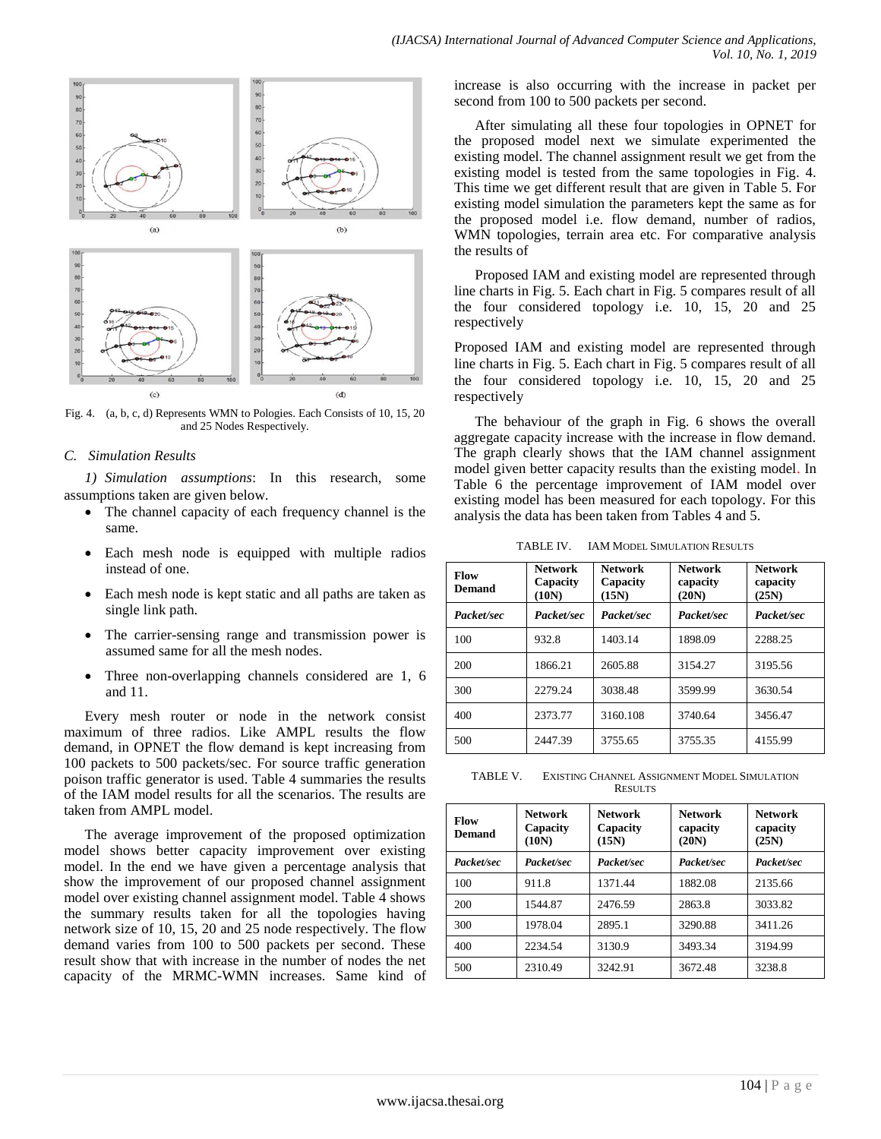



Fig. 4. (a, b, c, d) Represents WMN to Pologies. Each Consists of 10, 15, 20 and 25 Nodes Respectively.

#### *C. Simulation Results*

*1) Simulation assumptions*: In this research, some assumptions taken are given below.

- The channel capacity of each frequency channel is the same.
- Each mesh node is equipped with multiple radios instead of one.
- Each mesh node is kept static and all paths are taken as single link path.
- The carrier-sensing range and transmission power is assumed same for all the mesh nodes.
- Three non-overlapping channels considered are 1, 6 and 11.

Every mesh router or node in the network consist maximum of three radios. Like AMPL results the flow demand, in OPNET the flow demand is kept increasing from 100 packets to 500 packets/sec. For source traffic generation poison traffic generator is used. Table 4 summaries the results of the IAM model results for all the scenarios. The results are taken from AMPL model.

The average improvement of the proposed optimization model shows better capacity improvement over existing model. In the end we have given a percentage analysis that show the improvement of our proposed channel assignment model over existing channel assignment model. Table 4 shows the summary results taken for all the topologies having network size of 10, 15, 20 and 25 node respectively. The flow demand varies from 100 to 500 packets per second. These result show that with increase in the number of nodes the net capacity of the MRMC-WMN increases. Same kind of increase is also occurring with the increase in packet per second from 100 to 500 packets per second.

After simulating all these four topologies in OPNET for the proposed model next we simulate experimented the existing model. The channel assignment result we get from the existing model is tested from the same topologies in Fig. 4. This time we get different result that are given in Table 5. For existing model simulation the parameters kept the same as for the proposed model i.e. flow demand, number of radios, WMN topologies, terrain area etc. For comparative analysis the results of

Proposed IAM and existing model are represented through line charts in Fig. 5. Each chart in Fig. 5 compares result of all the four considered topology i.e. 10, 15, 20 and 25 respectively

Proposed IAM and existing model are represented through line charts in Fig. 5. Each chart in Fig. 5 compares result of all the four considered topology i.e. 10, 15, 20 and 25 respectively

The behaviour of the graph in Fig. 6 shows the overall aggregate capacity increase with the increase in flow demand. The graph clearly shows that the IAM channel assignment model given better capacity results than the existing model. In Table 6 the percentage improvement of IAM model over existing model has been measured for each topology. For this analysis the data has been taken from Tables 4 and 5.

TABLE IV. IAM MODEL SIMULATION RESULTS

| <b>Flow</b><br><b>Demand</b> | <b>Network</b><br>Capacity<br>(10N) | <b>Network</b><br>Capacity<br>(15N) | <b>Network</b><br>capacity<br>(20N) | <b>Network</b><br>capacity<br>(25N) |
|------------------------------|-------------------------------------|-------------------------------------|-------------------------------------|-------------------------------------|
| Packet/sec                   | Packet/sec                          | Packet/sec                          | Packet/sec                          | Packet/sec                          |
| 100                          | 932.8                               | 1403.14                             | 1898.09                             | 2288.25                             |
| 200                          | 1866.21                             | 2605.88                             | 3154.27                             | 3195.56                             |
| 300                          | 2279.24                             | 3038.48                             | 3599.99                             | 3630.54                             |
| 400                          | 2373.77                             | 3160.108                            | 3740.64                             | 3456.47                             |
| 500                          | 2447.39                             | 3755.65                             | 3755.35                             | 4155.99                             |

TABLE V. EXISTING CHANNEL ASSIGNMENT MODEL SIMULATION **RESULTS** 

| <b>Flow</b><br><b>Demand</b> | <b>Network</b><br>Capacity<br>(10N) | <b>Network</b><br>Capacity<br>(15N) | <b>Network</b><br>capacity<br>(20N) | <b>Network</b><br>capacity<br>(25N) |
|------------------------------|-------------------------------------|-------------------------------------|-------------------------------------|-------------------------------------|
| Packet/sec                   | Packet/sec                          | Packet/sec                          | Packet/sec                          | Packet/sec                          |
| 100                          | 911.8                               | 1371.44                             | 1882.08                             | 2135.66                             |
| 200                          | 1544.87                             | 2476.59                             | 2863.8                              | 3033.82                             |
| 300                          | 1978.04                             | 2895.1                              | 3290.88                             | 3411.26                             |
| 400                          | 2234.54                             | 3130.9                              | 3493.34                             | 3194.99                             |
| 500                          | 2310.49                             | 3242.91                             | 3672.48                             | 3238.8                              |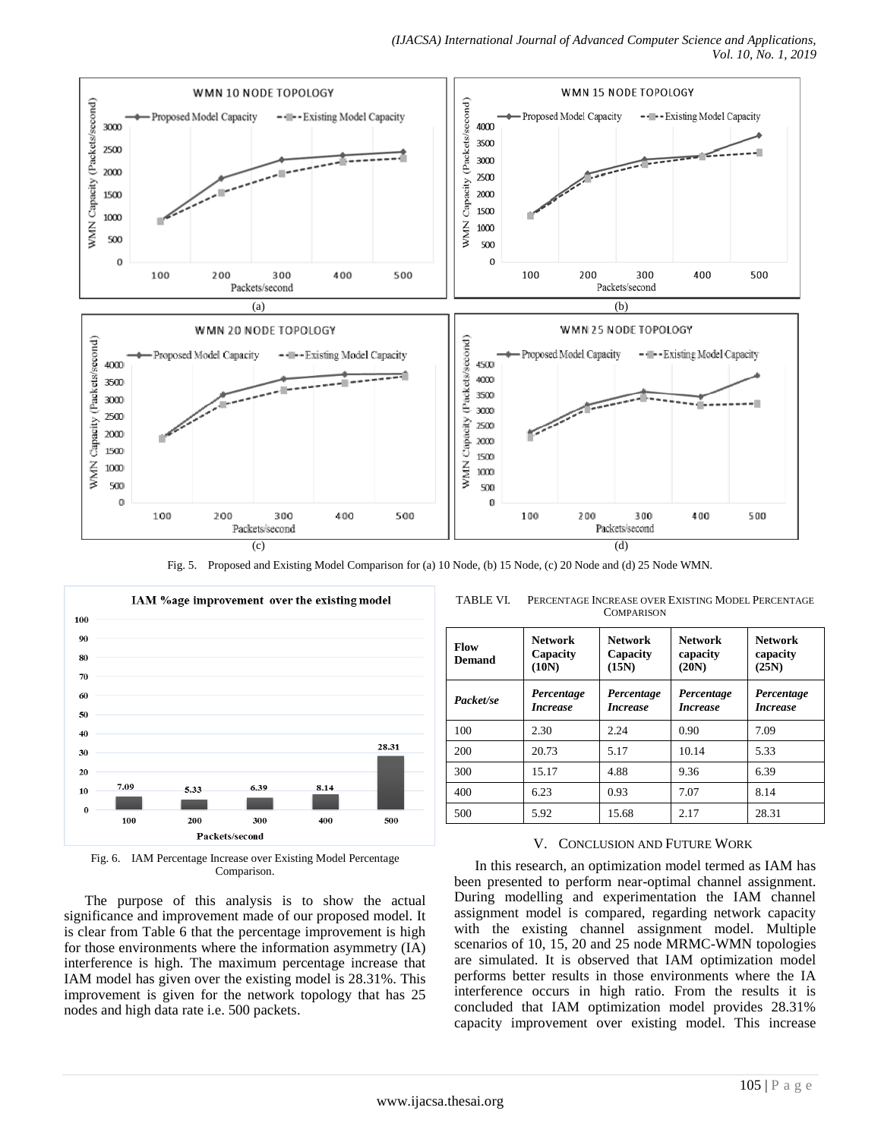

Fig. 5. Proposed and Existing Model Comparison for (a) 10 Node, (b) 15 Node, (c) 20 Node and (d) 25 Node WMN.



Fig. 6. IAM Percentage Increase over Existing Model Percentage Comparison.

The purpose of this analysis is to show the actual significance and improvement made of our proposed model. It is clear from Table 6 that the percentage improvement is high for those environments where the information asymmetry (IA) interference is high. The maximum percentage increase that IAM model has given over the existing model is 28.31%. This improvement is given for the network topology that has 25 nodes and high data rate i.e. 500 packets.

| <b>Flow</b><br><b>Demand</b> | <b>Network</b><br>Capacity<br>(10N) | <b>Network</b><br>Capacity<br>(15N) | <b>Network</b><br>capacity<br>(20N) | <b>Network</b><br>capacity<br>(25N) |
|------------------------------|-------------------------------------|-------------------------------------|-------------------------------------|-------------------------------------|
| Packet/se                    | Percentage<br><b>Increase</b>       | Percentage<br><i>Increase</i>       | Percentage<br><b>Increase</b>       | Percentage<br><b>Increase</b>       |
| 100                          | 2.30                                | 2.24                                | 0.90                                | 7.09                                |
| 200                          | 20.73                               | 5.17                                | 10.14                               | 5.33                                |
| 300                          | 15.17                               | 4.88                                | 9.36                                | 6.39                                |
| 400                          | 6.23                                | 0.93                                | 7.07                                | 8.14                                |
| 500                          | 5.92                                | 15.68                               | 2.17                                | 28.31                               |

TABLE VI. PERCENTAGE INCREASE OVER EXISTING MODEL PERCENTAGE **COMPARISON** 

## V. CONCLUSION AND FUTURE WORK

In this research, an optimization model termed as IAM has been presented to perform near-optimal channel assignment. During modelling and experimentation the IAM channel assignment model is compared, regarding network capacity with the existing channel assignment model. Multiple scenarios of 10, 15, 20 and 25 node MRMC-WMN topologies are simulated. It is observed that IAM optimization model performs better results in those environments where the IA interference occurs in high ratio. From the results it is concluded that IAM optimization model provides 28.31% capacity improvement over existing model. This increase